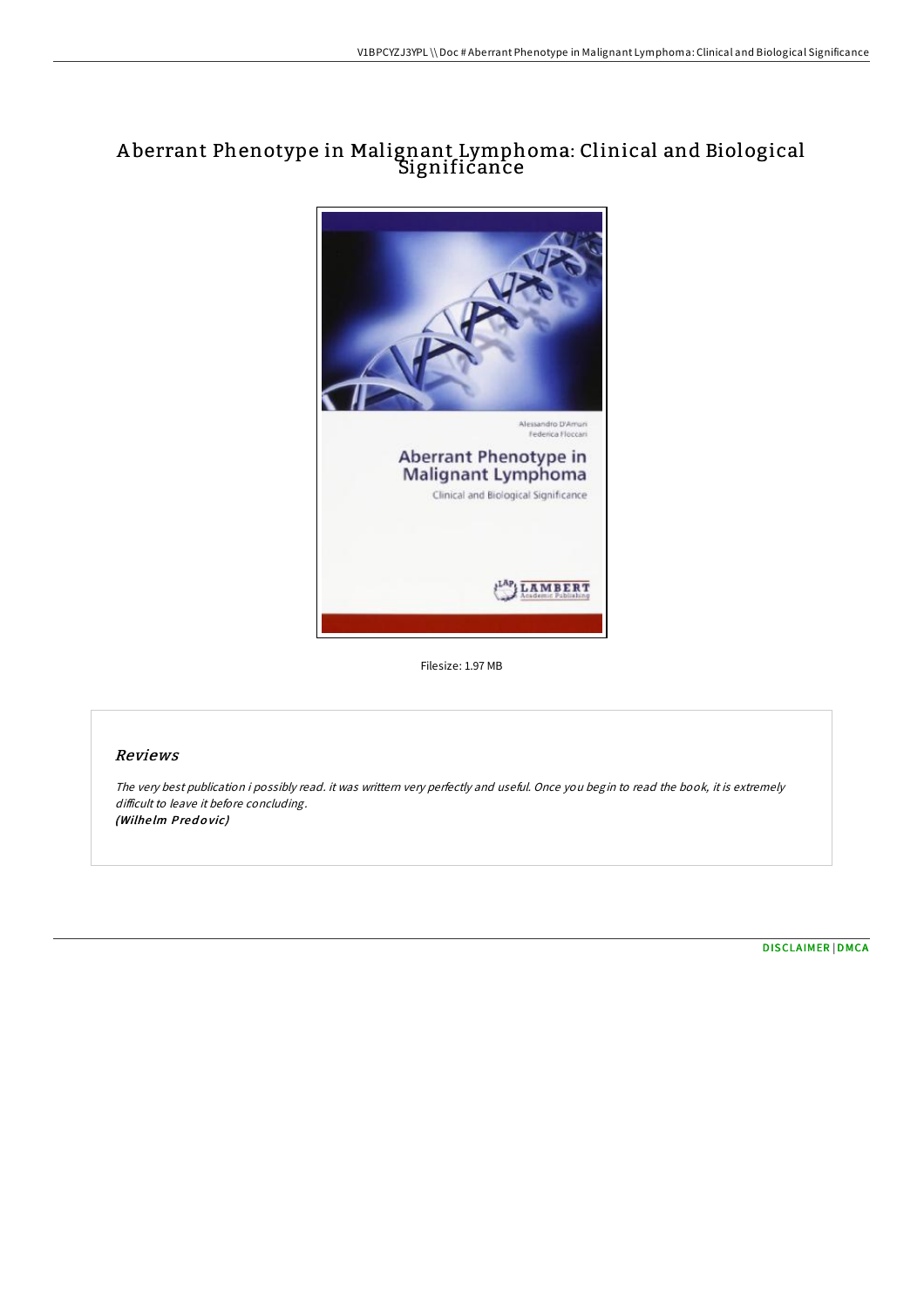# A berrant Phenotype in Malignant Lymphoma: Clinical and Biological Significance



Filesize: 1.97 MB

## Reviews

The very best publication i possibly read. it was writtern very perfectly and useful. Once you begin to read the book, it is extremely difficult to leave it before concluding. (Wilhelm Predovic)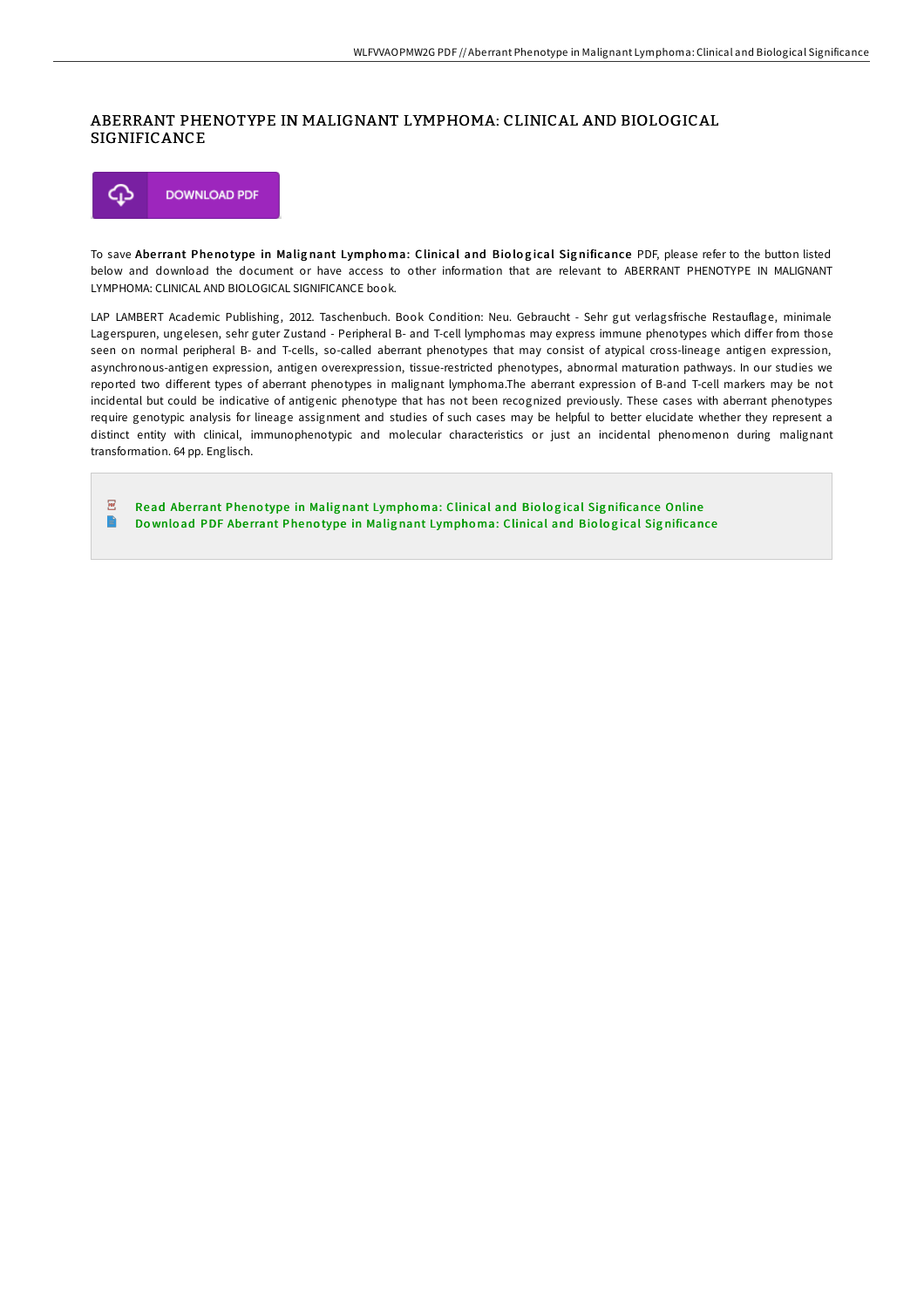## ABERRANT PHENOTYPE IN MALIGNANT LYMPHOMA: CLINICAL AND BIOLOGICAL SIGNIFICANCE



To save Aberrant Phenotype in Malignant Lymphoma: Clinical and Biological Significance PDF, please refer to the button listed below and download the document or have access to other information that are relevant to ABERRANT PHENOTYPE IN MALIGNANT LYMPHOMA: CLINICAL AND BIOLOGICAL SIGNIFICANCE book.

LAP LAMBERT Academic Publishing, 2012. Taschenbuch. Book Condition: Neu. Gebraucht - Sehr gut verlagsfrische Restauflage, minimale Lagerspuren, ungelesen, sehr guter Zustand - Peripheral B- and T-cell lymphomas may express immune phenotypes which differ from those seen on normal peripheral B- and T-cells, so-called aberrant phenotypes that may consist of atypical cross-lineage antigen expression, asynchronous-antigen expression, antigen overexpression, tissue-restricted phenotypes, abnormal maturation pathways. In our studies we reported two different types of aberrant phenotypes in malignant lymphoma.The aberrant expression of B-and T-cell markers may be not incidental but could be indicative of antigenic phenotype that has not been recognized previously. These cases with aberrant phenotypes require genotypic analysis for lineage assignment and studies of such cases may be helpful to better elucidate whether they represent a distinct entity with clinical, immunophenotypic and molecular characteristics or just an incidental phenomenon during malignant transformation. 64 pp. Englisch.

 $\overline{\mathbb{R}^n}$ Read Aberrant Phenotype in Malignant Lymphoma: Clinical and Biological Sig[nificance](http://almighty24.tech/aberrant-phenotype-in-malignant-lymphoma-clinica.html) Online  $\Rightarrow$ Do wnlo ad PDF Abe rrant Pheno type in Malig nant Lympho ma: Clinical and Bio lo g ical Sig [nificance](http://almighty24.tech/aberrant-phenotype-in-malignant-lymphoma-clinica.html)